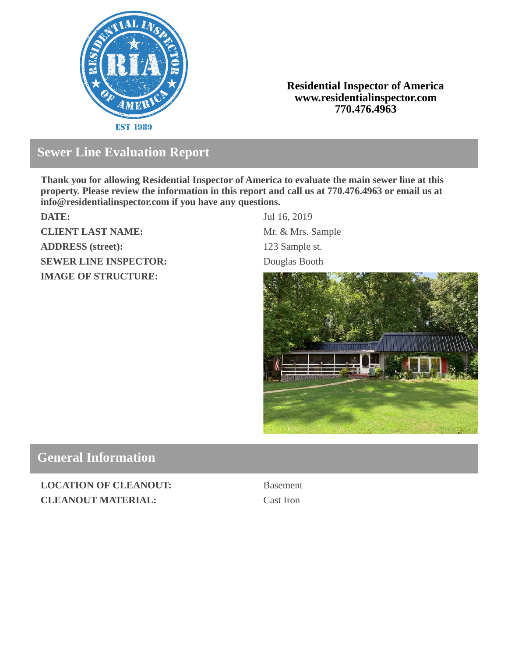

### **Residential Inspector of America www.residentialinspector.com 770.476.4963**

# **Sewer Line Evaluation Report**

**Thank you for allowing Residential Inspector of America to evaluate the main sewer line at this property. Please review the information in this report and call us at 770.476.4963 or email us at info@residentialinspector.com if you have any questions.**

**CLIENT LAST NAME:** Mr. & Mrs. Sample **ADDRESS (street):** 123 Sample st. **SEWER LINE INSPECTOR:** Douglas Booth **IMAGE OF STRUCTURE:**

**DATE:** Jul 16, 2019



# **General Information**

**LOCATION OF CLEANOUT:** Basement **CLEANOUT MATERIAL:** Cast Iron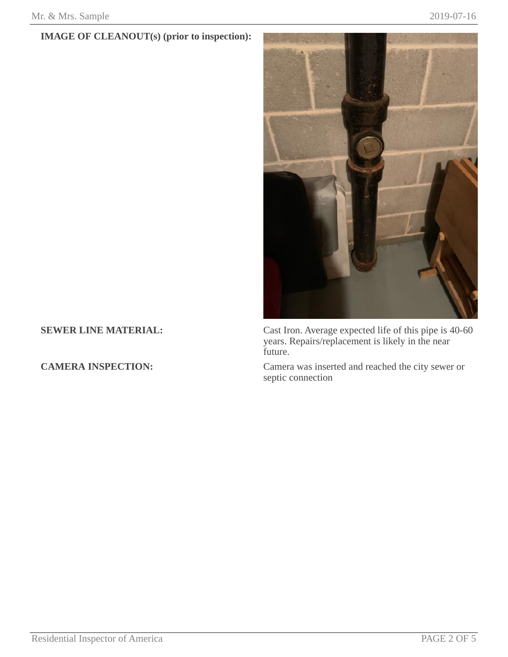## **IMAGE OF CLEANOUT(s) (prior to inspection):**



**SEWER LINE MATERIAL:** Cast Iron. Average expected life of this pipe is 40-60 years. Repairs/replacement is likely in the near future.

**CAMERA INSPECTION:** Camera was inserted and reached the city sewer or septic connection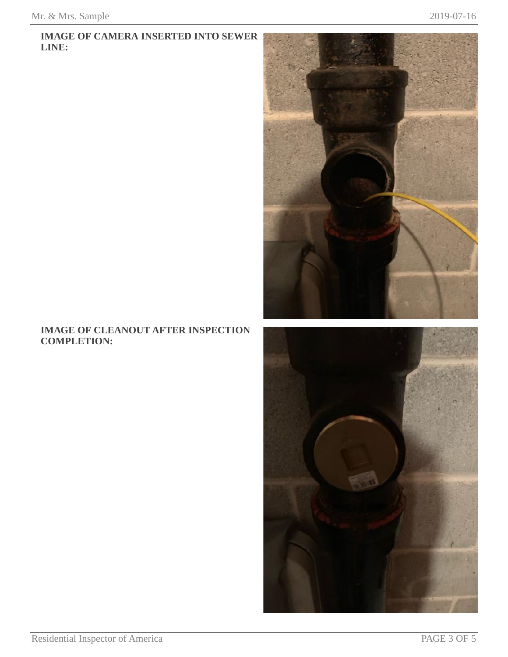### **IMAGE OF CAMERA INSERTED INTO SEWER LINE:**



## **IMAGE OF CLEANOUT AFTER INSPECTION COMPLETION:**

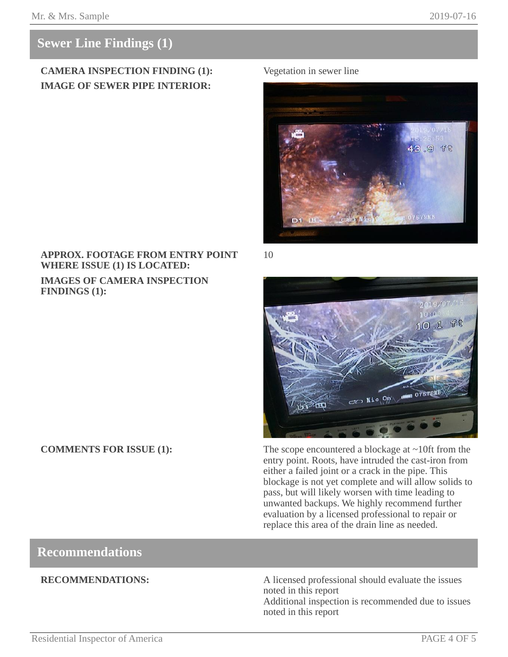# **Sewer Line Findings (1)**

## **CAMERA INSPECTION FINDING (1):** Vegetation in sewer line **IMAGE OF SEWER PIPE INTERIOR:**



**APPROX. FOOTAGE FROM ENTRY POINT WHERE ISSUE (1) IS LOCATED: IMAGES OF CAMERA INSPECTION FINDINGS (1):**

10



**COMMENTS FOR ISSUE (1):** The scope encountered a blockage at ~10ft from the entry point. Roots, have intruded the cast-iron from either a failed joint or a crack in the pipe. This blockage is not yet complete and will allow solids to pass, but will likely worsen with time leading to unwanted backups. We highly recommend further evaluation by a licensed professional to repair or replace this area of the drain line as needed.

## **Recommendations**

**RECOMMENDATIONS:** A licensed professional should evaluate the issues noted in this report

Additional inspection is recommended due to issues noted in this report